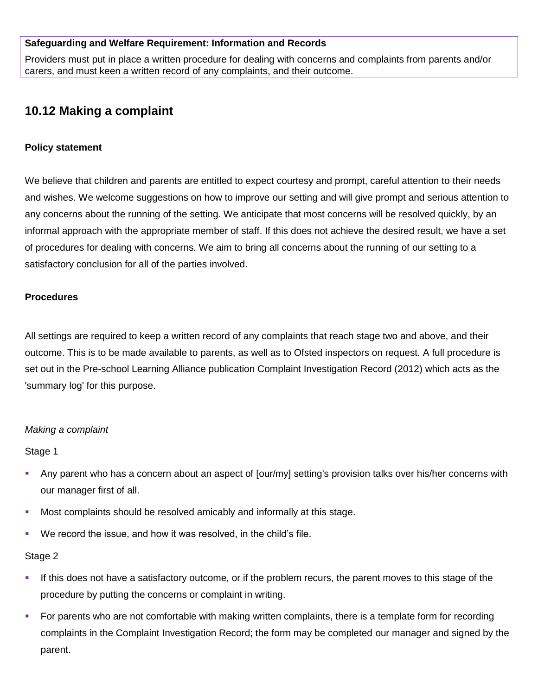## **Safeguarding and Welfare Requirement: Information and Records**

Providers must put in place a written procedure for dealing with concerns and complaints from parents and/or carers, and must keen a written record of any complaints, and their outcome.

# **10.12 Making a complaint**

## **Policy statement**

We believe that children and parents are entitled to expect courtesy and prompt, careful attention to their needs and wishes. We welcome suggestions on how to improve our setting and will give prompt and serious attention to any concerns about the running of the setting. We anticipate that most concerns will be resolved quickly, by an informal approach with the appropriate member of staff. If this does not achieve the desired result, we have a set of procedures for dealing with concerns. We aim to bring all concerns about the running of our setting to a satisfactory conclusion for all of the parties involved.

#### **Procedures**

All settings are required to keep a written record of any complaints that reach stage two and above, and their outcome. This is to be made available to parents, as well as to Ofsted inspectors on request. A full procedure is set out in the Pre-school Learning Alliance publication Complaint Investigation Record (2012) which acts as the 'summary log' for this purpose.

#### *Making a complaint*

#### Stage 1

- Any parent who has a concern about an aspect of [our/my] setting's provision talks over his/her concerns with our manager first of all.
- **Most complaints should be resolved amicably and informally at this stage.**
- We record the issue, and how it was resolved, in the child's file.

#### Stage 2

- If this does not have a satisfactory outcome, or if the problem recurs, the parent moves to this stage of the procedure by putting the concerns or complaint in writing.
- For parents who are not comfortable with making written complaints, there is a template form for recording complaints in the Complaint Investigation Record; the form may be completed our manager and signed by the parent.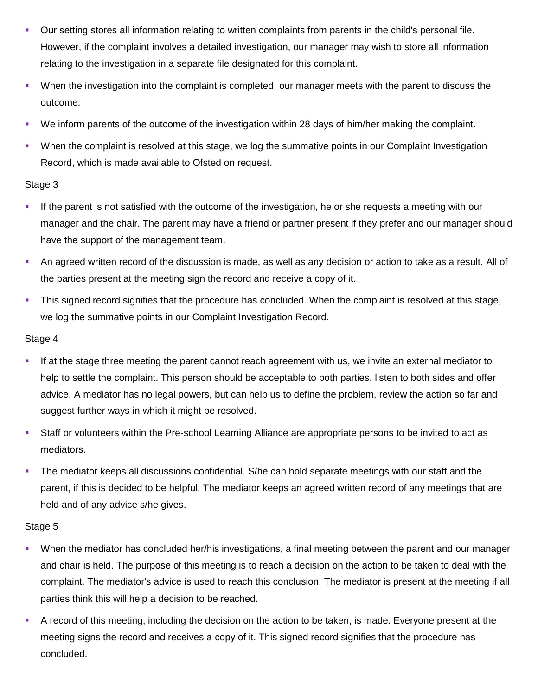- Our setting stores all information relating to written complaints from parents in the child's personal file. However, if the complaint involves a detailed investigation, our manager may wish to store all information relating to the investigation in a separate file designated for this complaint.
- When the investigation into the complaint is completed, our manager meets with the parent to discuss the outcome.
- We inform parents of the outcome of the investigation within 28 days of him/her making the complaint.
- When the complaint is resolved at this stage, we log the summative points in our Complaint Investigation Record, which is made available to Ofsted on request.

## Stage 3

- If the parent is not satisfied with the outcome of the investigation, he or she requests a meeting with our manager and the chair. The parent may have a friend or partner present if they prefer and our manager should have the support of the management team.
- An agreed written record of the discussion is made, as well as any decision or action to take as a result. All of the parties present at the meeting sign the record and receive a copy of it.
- This signed record signifies that the procedure has concluded. When the complaint is resolved at this stage, we log the summative points in our Complaint Investigation Record.

## Stage 4

- If at the stage three meeting the parent cannot reach agreement with us, we invite an external mediator to help to settle the complaint. This person should be acceptable to both parties, listen to both sides and offer advice. A mediator has no legal powers, but can help us to define the problem, review the action so far and suggest further ways in which it might be resolved.
- Staff or volunteers within the Pre-school Learning Alliance are appropriate persons to be invited to act as mediators.
- The mediator keeps all discussions confidential. S/he can hold separate meetings with our staff and the parent, if this is decided to be helpful. The mediator keeps an agreed written record of any meetings that are held and of any advice s/he gives.

# Stage 5

- When the mediator has concluded her/his investigations, a final meeting between the parent and our manager and chair is held. The purpose of this meeting is to reach a decision on the action to be taken to deal with the complaint. The mediator's advice is used to reach this conclusion. The mediator is present at the meeting if all parties think this will help a decision to be reached.
- A record of this meeting, including the decision on the action to be taken, is made. Everyone present at the meeting signs the record and receives a copy of it. This signed record signifies that the procedure has concluded.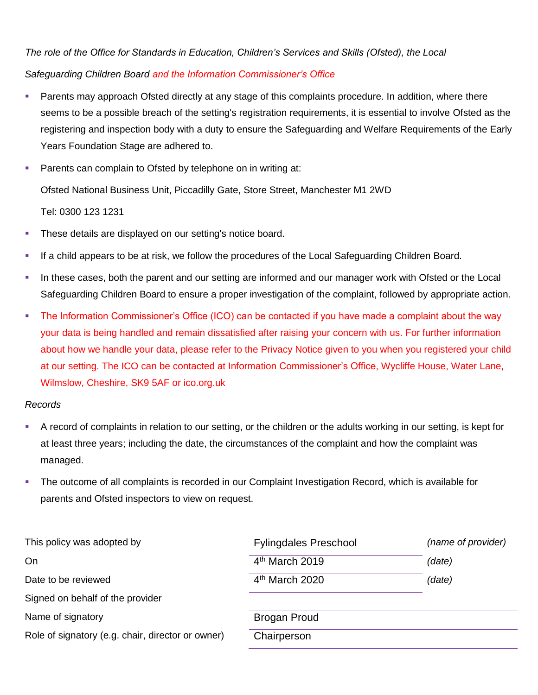*The role of the Office for Standards in Education, Children's Services and Skills (Ofsted), the Local Safeguarding Children Board and the Information Commissioner's Office*

- Parents may approach Ofsted directly at any stage of this complaints procedure. In addition, where there seems to be a possible breach of the setting's registration requirements, it is essential to involve Ofsted as the registering and inspection body with a duty to ensure the Safeguarding and Welfare Requirements of the Early Years Foundation Stage are adhered to.
- **Parents can complain to Ofsted by telephone on in writing at:**

Ofsted National Business Unit, Piccadilly Gate, Store Street, Manchester M1 2WD

Tel: 0300 123 1231

- **These details are displayed on our setting's notice board.**
- If a child appears to be at risk, we follow the procedures of the Local Safeguarding Children Board.
- In these cases, both the parent and our setting are informed and our manager work with Ofsted or the Local Safeguarding Children Board to ensure a proper investigation of the complaint, followed by appropriate action.
- The Information Commissioner's Office (ICO) can be contacted if you have made a complaint about the way your data is being handled and remain dissatisfied after raising your concern with us. For further information about how we handle your data, please refer to the Privacy Notice given to you when you registered your child at our setting. The ICO can be contacted at Information Commissioner's Office, Wycliffe House, Water Lane, Wilmslow, Cheshire, SK9 5AF or ico.org.uk

## *Records*

- A record of complaints in relation to our setting, or the children or the adults working in our setting, is kept for at least three years; including the date, the circumstances of the complaint and how the complaint was managed.
- The outcome of all complaints is recorded in our Complaint Investigation Record, which is available for parents and Ofsted inspectors to view on request.

| This policy was adopted by                        | <b>Fylingdales Preschool</b> | (name of provider) |
|---------------------------------------------------|------------------------------|--------------------|
| On                                                | $4th$ March 2019             | (date)             |
| Date to be reviewed                               | $4th$ March 2020             | (date)             |
| Signed on behalf of the provider                  |                              |                    |
| Name of signatory                                 | <b>Brogan Proud</b>          |                    |
| Role of signatory (e.g. chair, director or owner) | Chairperson                  |                    |